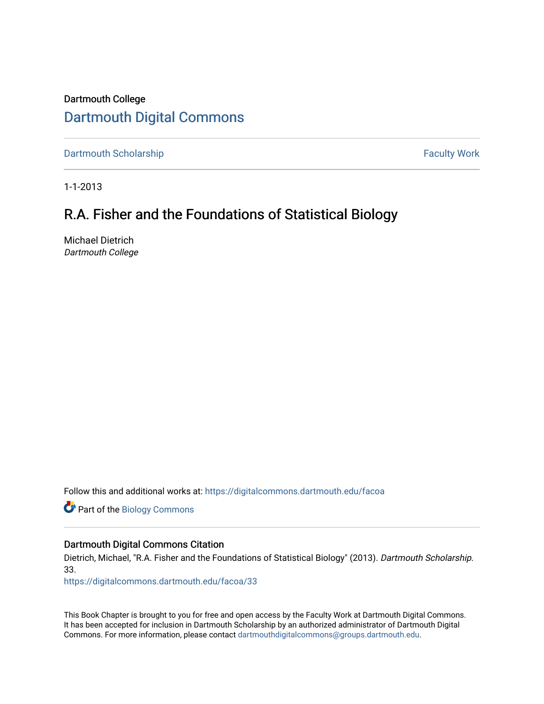## Dartmouth College [Dartmouth Digital Commons](https://digitalcommons.dartmouth.edu/)

[Dartmouth Scholarship](https://digitalcommons.dartmouth.edu/facoa) **Faculty Work Dartmouth Scholarship Faculty Work** 

1-1-2013

## R.A. Fisher and the Foundations of Statistical Biology

Michael Dietrich Dartmouth College

Follow this and additional works at: [https://digitalcommons.dartmouth.edu/facoa](https://digitalcommons.dartmouth.edu/facoa?utm_source=digitalcommons.dartmouth.edu%2Ffacoa%2F33&utm_medium=PDF&utm_campaign=PDFCoverPages)

Part of the [Biology Commons](http://network.bepress.com/hgg/discipline/41?utm_source=digitalcommons.dartmouth.edu%2Ffacoa%2F33&utm_medium=PDF&utm_campaign=PDFCoverPages) 

## Dartmouth Digital Commons Citation

Dietrich, Michael, "R.A. Fisher and the Foundations of Statistical Biology" (2013). Dartmouth Scholarship. 33.

[https://digitalcommons.dartmouth.edu/facoa/33](https://digitalcommons.dartmouth.edu/facoa/33?utm_source=digitalcommons.dartmouth.edu%2Ffacoa%2F33&utm_medium=PDF&utm_campaign=PDFCoverPages) 

This Book Chapter is brought to you for free and open access by the Faculty Work at Dartmouth Digital Commons. It has been accepted for inclusion in Dartmouth Scholarship by an authorized administrator of Dartmouth Digital Commons. For more information, please contact [dartmouthdigitalcommons@groups.dartmouth.edu](mailto:dartmouthdigitalcommons@groups.dartmouth.edu).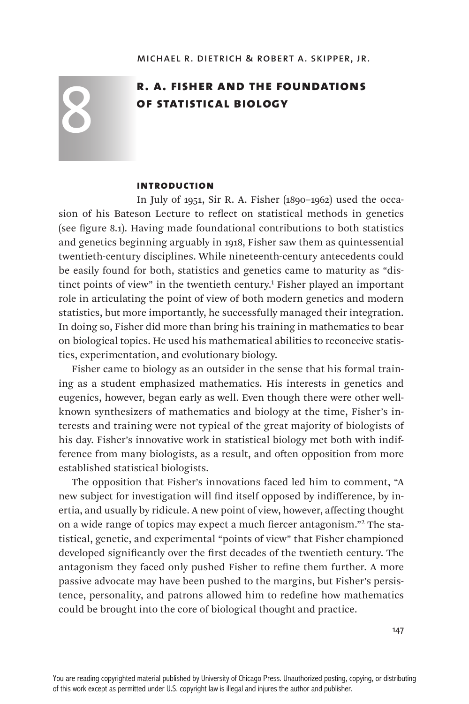# **r. a. fisher and the foundations of statistical biology**R. A. FISHER AND THE F<br>OF STATISTICAL BIOLOG

#### **introduction**

In July of 1951, Sir R. A. Fisher  $(1890-1962)$  used the occasion of his Bateson Lecture to reflect on statistical methods in genetics (see figure 8.1). Having made foundational contributions to both statistics and genetics beginning arguably in 1918, Fisher saw them as quintessential twentieth- century disciplines. While nineteenth- century antecedents could be easily found for both, statistics and genetics came to maturity as "distinct points of view" in the twentieth century.<sup>1</sup> Fisher played an important role in articulating the point of view of both modern genetics and modern statistics, but more importantly, he successfully managed their integration. In doing so, Fisher did more than bring his training in mathematics to bear on biological topics. He used his mathematical abilities to reconceive statistics, experimentation, and evolutionary biology.

Fisher came to biology as an outsider in the sense that his formal training as a student emphasized mathematics. His interests in genetics and eugenics, however, began early as well. Even though there were other wellknown synthesizers of mathematics and biology at the time, Fisher's interests and training were not typical of the great majority of biologists of his day. Fisher's innovative work in statistical biology met both with indifference from many biologists, as a result, and often opposition from more established statistical biologists.

The opposition that Fisher's innovations faced led him to comment, "A new subject for investigation will find itself opposed by indifference, by inertia, and usually by ridicule. A new point of view, however, affecting thought on a wide range of topics may expect a much fiercer antagonism."<sup>2</sup> The statistical, genetic, and experimental "points of view" that Fisher championed developed significantly over the first decades of the twentieth century. The antagonism they faced only pushed Fisher to refine them further. A more passive advocate may have been pushed to the margins, but Fisher's persistence, personality, and patrons allowed him to redefine how mathematics could be brought into the core of biological thought and practice.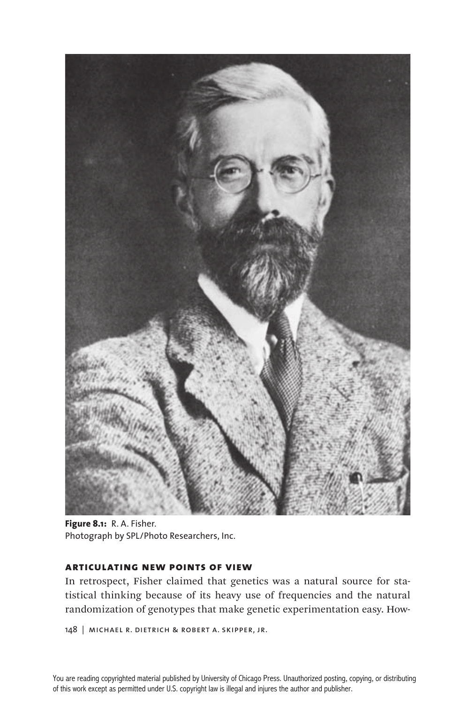

**Figure 8.1:** R. A. Fisher. Photograph by SPL/Photo Researchers, Inc.

## **articulating new points of view**

In retrospect, Fisher claimed that genetics was a natural source for statistical thinking because of its heavy use of frequencies and the natural randomization of genotypes that make genetic experimentation easy. How-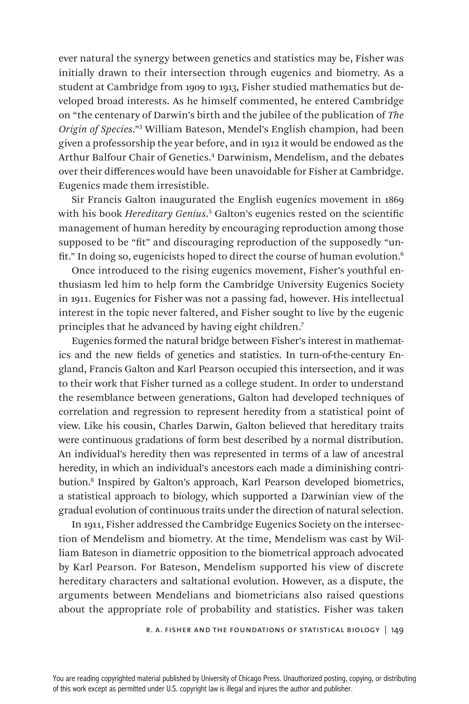ever natural the synergy between genetics and statistics may be, Fisher was initially drawn to their intersection through eugenics and biometry. As a student at Cambridge from 1909 to 1913, Fisher studied mathematics but developed broad interests. As he himself commented, he entered Cambridge on "the centenary of Darwin's birth and the jubilee of the publication of *The*  Origin of Species."<sup>3</sup> William Bateson, Mendel's English champion, had been given a professorship the year before, and in 1912 it would be endowed as the Arthur Balfour Chair of Genetics.<sup>4</sup> Darwinism, Mendelism, and the debates over their differences would have been unavoidable for Fisher at Cambridge. Eugenics made them irresistible.

Sir Francis Galton inaugurated the English eugenics movement in 1869 with his book *Hereditary Genius*.<sup>5</sup> Galton's eugenics rested on the scientific management of human heredity by encouraging reproduction among those supposed to be "fit" and discouraging reproduction of the supposedly "unfit." In doing so, eugenicists hoped to direct the course of human evolution.<sup>6</sup>

Once introduced to the rising eugenics movement, Fisher's youthful enthusiasm led him to help form the Cambridge University Eugenics Society in 1911. Eugenics for Fisher was not a passing fad, however. His intellectual interest in the topic never faltered, and Fisher sought to live by the eugenic principles that he advanced by having eight children.7

Eugenics formed the natural bridge between Fisher's interest in mathematics and the new fields of genetics and statistics. In turn-of-the-century England, Francis Galton and Karl Pearson occupied this intersection, and it was to their work that Fisher turned as a college student. In order to understand the resemblance between generations, Galton had developed techniques of correlation and regression to represent heredity from a statistical point of view. Like his cousin, Charles Darwin, Galton believed that hereditary traits were continuous gradations of form best described by a normal distribution. An individual's heredity then was represented in terms of a law of ancestral heredity, in which an individual's ancestors each made a diminishing contribution.<sup>8</sup> Inspired by Galton's approach, Karl Pearson developed biometrics, a statistical approach to biology, which supported a Darwinian view of the gradual evolution of continuous traits under the direction of natural selection.

In 1911, Fisher addressed the Cambridge Eugenics Society on the intersection of Mendelism and biometry. At the time, Mendelism was cast by William Bateson in diametric opposition to the biometrical approach advocated by Karl Pearson. For Bateson, Mendelism supported his view of discrete hereditary characters and saltational evolution. However, as a dispute, the arguments between Mendelians and biometricians also raised questions about the appropriate role of probability and statistics. Fisher was taken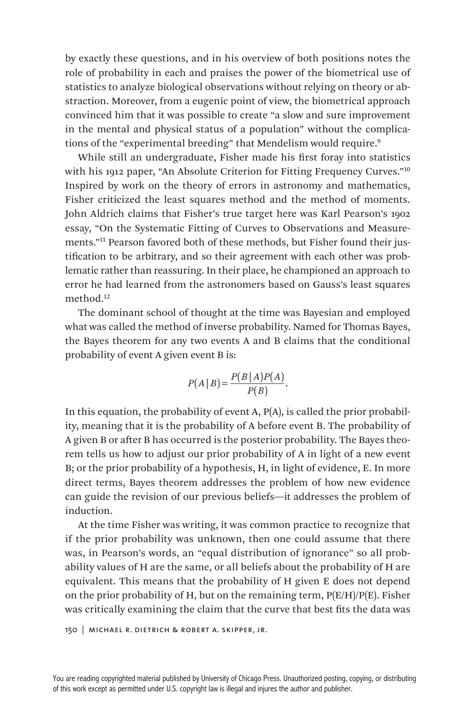by exactly these questions, and in his overview of both positions notes the role of probability in each and praises the power of the biometrical use of statistics to analyze biological observations without relying on theory or abstraction. Moreover, from a eugenic point of view, the biometrical approach convinced him that it was possible to create "a slow and sure improvement in the mental and physical status of a population" without the complications of the "experimental breeding" that Mendelism would require.9

While still an undergraduate, Fisher made his first foray into statistics with his 1912 paper, "An Absolute Criterion for Fitting Frequency Curves."<sup>10</sup> Inspired by work on the theory of errors in astronomy and mathematics, Fisher criticized the least squares method and the method of moments. John Aldrich claims that Fisher's true target here was Karl Pearson's 1902 essay, "On the Systematic Fitting of Curves to Observations and Measurements."11 Pearson favored both of these methods, but Fisher found their justification to be arbitrary, and so their agreement with each other was problematic rather than reassuring. In their place, he championed an approach to error he had learned from the astronomers based on Gauss's least squares method.12

The dominant school of thought at the time was Bayesian and employed what was called the method of inverse probability. Named for Thomas Bayes, the Bayes theorem for any two events A and B claims that the conditional probability of event A given event B is:

$$
P(A | B) = \frac{P(B | A)P(A)}{P(B)}.
$$

In this equation, the probability of event A,  $P(A)$ , is called the prior probability, meaning that it is the probability of A before event B. The probability of A given B or after B has occurred is the posterior probability. The Bayes theorem tells us how to adjust our prior probability of A in light of a new event B; or the prior probability of a hypothesis, H, in light of evidence, E. In more direct terms, Bayes theorem addresses the problem of how new evidence can guide the revision of our previous beliefs— it addresses the problem of induction.

At the time Fisher was writing, it was common practice to recognize that if the prior probability was unknown, then one could assume that there was, in Pearson's words, an "equal distribution of ignorance" so all probability values of H are the same, or all beliefs about the probability of H are equivalent. This means that the probability of H given E does not depend on the prior probability of H, but on the remaining term,  $P(E/H)/P(E)$ . Fisher was critically examining the claim that the curve that best fits the data was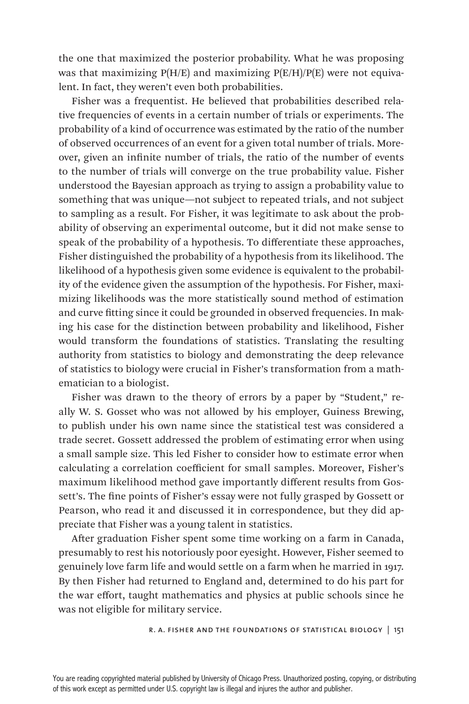the one that maximized the posterior probability. What he was proposing was that maximizing  $P(H/E)$  and maximizing  $P(E/H)/P(E)$  were not equivalent. In fact, they weren't even both probabilities.

Fisher was a frequentist. He believed that probabilities described relative frequencies of events in a certain number of trials or experiments. The probability of a kind of occurrence was estimated by the ratio of the number of observed occurrences of an event for a given total number of trials. Moreover, given an infinite number of trials, the ratio of the number of events to the number of trials will converge on the true probability value. Fisher understood the Bayesian approach as trying to assign a probability value to something that was unique— not subject to repeated trials, and not subject to sampling as a result. For Fisher, it was legitimate to ask about the probability of observing an experimental outcome, but it did not make sense to speak of the probability of a hypothesis. To differentiate these approaches, Fisher distinguished the probability of a hypothesis from its likelihood. The likelihood of a hypothesis given some evidence is equivalent to the probability of the evidence given the assumption of the hypothesis. For Fisher, maximizing likelihoods was the more statistically sound method of estimation and curve fitting since it could be grounded in observed frequencies. In making his case for the distinction between probability and likelihood, Fisher would transform the foundations of statistics. Translating the resulting authority from statistics to biology and demonstrating the deep relevance of statistics to biology were crucial in Fisher's transformation from a mathematician to a biologist.

Fisher was drawn to the theory of errors by a paper by "Student," really W. S. Gosset who was not allowed by his employer, Guiness Brewing, to publish under his own name since the statistical test was considered a trade secret. Gossett addressed the problem of estimating error when using a small sample size. This led Fisher to consider how to estimate error when calculating a correlation coefficient for small samples. Moreover, Fisher's maximum likelihood method gave importantly different results from Gossett's. The fine points of Fisher's essay were not fully grasped by Gossett or Pearson, who read it and discussed it in correspondence, but they did appreciate that Fisher was a young talent in statistics.

After graduation Fisher spent some time working on a farm in Canada, presumably to rest his notoriously poor eyesight. However, Fisher seemed to genuinely love farm life and would settle on a farm when he married in 1917. By then Fisher had returned to England and, determined to do his part for the war effort, taught mathematics and physics at public schools since he was not eligible for military service.

```
r. a. fisher and the foundations of statistical biology | 151
```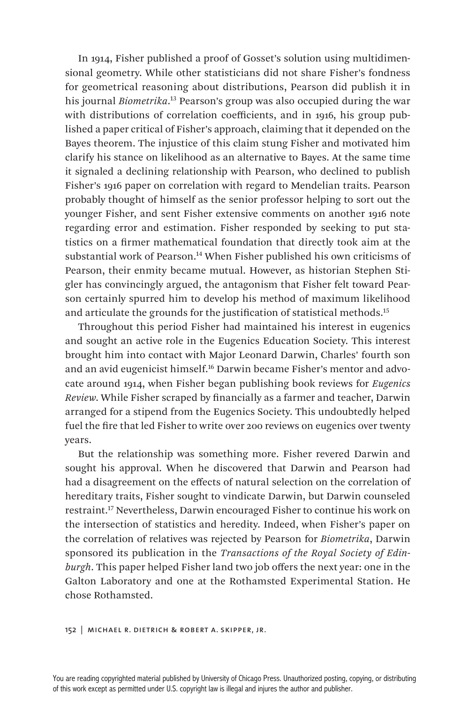In 1914, Fisher published a proof of Gosset's solution using multidimensional geometry. While other statisticians did not share Fisher's fondness for geometrical reasoning about distributions, Pearson did publish it in his journal *Biometrika*. 13 Pearson's group was also occupied during the war with distributions of correlation coefficients, and in 1916, his group published a paper critical of Fisher's approach, claiming that it depended on the Bayes theorem. The injustice of this claim stung Fisher and motivated him clarify his stance on likelihood as an alternative to Bayes. At the same time it signaled a declining relationship with Pearson, who declined to publish Fisher's 1916 paper on correlation with regard to Mendelian traits. Pearson probably thought of himself as the senior professor helping to sort out the younger Fisher, and sent Fisher extensive comments on another 1916 note regarding error and estimation. Fisher responded by seeking to put statistics on a firmer mathematical foundation that directly took aim at the substantial work of Pearson.14 When Fisher published his own criticisms of Pearson, their enmity became mutual. However, as historian Stephen Stigler has convincingly argued, the antagonism that Fisher felt toward Pearson certainly spurred him to develop his method of maximum likelihood and articulate the grounds for the justification of statistical methods.<sup>15</sup>

Throughout this period Fisher had maintained his interest in eugenics and sought an active role in the Eugenics Education Society. This interest brought him into contact with Major Leonard Darwin, Charles' fourth son and an avid eugenicist himself.16 Darwin became Fisher's mentor and advocate around 1914, when Fisher began publishing book reviews for *Eugenics Review*. While Fisher scraped by financially as a farmer and teacher, Darwin arranged for a stipend from the Eugenics Society. This undoubtedly helped fuel the fire that led Fisher to write over 200 reviews on eugenics over twenty years.

But the relationship was something more. Fisher revered Darwin and sought his approval. When he discovered that Darwin and Pearson had had a disagreement on the effects of natural selection on the correlation of hereditary traits, Fisher sought to vindicate Darwin, but Darwin counseled restraint.17 Nevertheless, Darwin encouraged Fisher to continue his work on the intersection of statistics and heredity. Indeed, when Fisher's paper on the correlation of relatives was rejected by Pearson for *Biometrika*, Darwin sponsored its publication in the *Transactions of the Royal Society of Edinburgh*. This paper helped Fisher land two job offers the next year: one in the Galton Laboratory and one at the Rothamsted Experimental Station. He chose Rothamsted.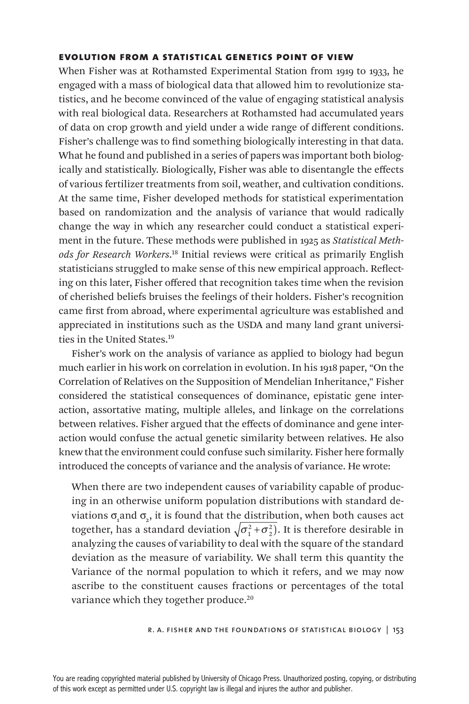### **EVOLUTION FROM A STATISTICAL GENETICS POINT OF VIEW**

When Fisher was at Rothamsted Experimental Station from 1919 to 1933, he engaged with a mass of biological data that allowed him to revolutionize statistics, and he become convinced of the value of engaging statistical analysis with real biological data. Researchers at Rothamsted had accumulated years of data on crop growth and yield under a wide range of different conditions. Fisher's challenge was to find something biologically interesting in that data. What he found and published in a series of papers was important both biologically and statistically. Biologically, Fisher was able to disentangle the effects of various fertilizer treatments from soil, weather, and cultivation conditions. At the same time, Fisher developed methods for statistical experimentation based on randomization and the analysis of variance that would radically change the way in which any researcher could conduct a statistical experiment in the future. These methods were published in 1925 as *Statistical Meth*ods for Research Workers.<sup>18</sup> Initial reviews were critical as primarily English statisticians struggled to make sense of this new empirical approach. Reflecting on this later, Fisher offered that recognition takes time when the revision of cherished beliefs bruises the feelings of their holders. Fisher's recognition came first from abroad, where experimental agriculture was established and appreciated in institutions such as the USDA and many land grant universities in the United States.19

Fisher's work on the analysis of variance as applied to biology had begun much earlier in his work on correlation in evolution. In his 1918 paper, "On the Correlation of Relatives on the Supposition of Mendelian Inheritance," Fisher considered the statistical consequences of dominance, epistatic gene interaction, assortative mating, multiple alleles, and linkage on the correlations between relatives. Fisher argued that the effects of dominance and gene interaction would confuse the actual genetic similarity between relatives. He also knew that the environment could confuse such similarity. Fisher here formally introduced the concepts of variance and the analysis of variance. He wrote:

When there are two independent causes of variability capable of producing in an otherwise uniform population distributions with standard deviations  $\sigma_1$  and  $\sigma_2$ , it is found that the distribution, when both causes act together, has a standard deviation  $\sqrt{\sigma_1^2 + \sigma_2^2}$ . It is therefore desirable in analyzing the causes of variability to deal with the square of the standard deviation as the measure of variability. We shall term this quantity the Variance of the normal population to which it refers, and we may now ascribe to the constituent causes fractions or percentages of the total variance which they together produce.<sup>20</sup>

You are reading copyrighted material published by University of Chicago Press. Unauthorized posting, copying, or distributing of this work except as permitted under U.S. copyright law is illegal and injures the author and publisher.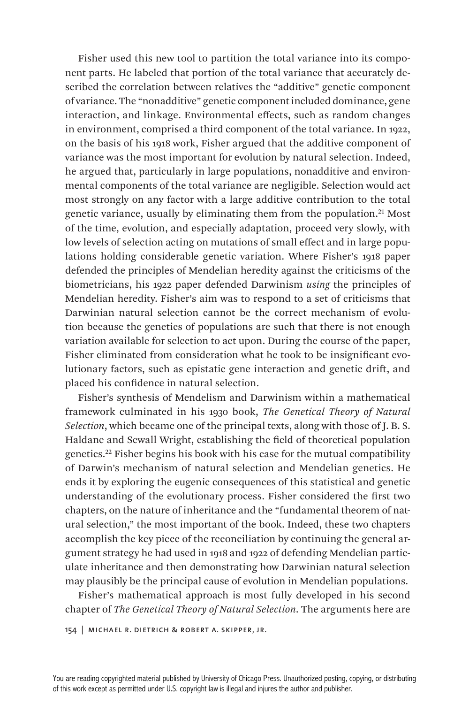Fisher used this new tool to partition the total variance into its component parts. He labeled that portion of the total variance that accurately described the correlation between relatives the "additive" genetic component of variance. The "nonadditive" genetic component included dominance, gene interaction, and linkage. Environmental effects, such as random changes in environment, comprised a third component of the total variance. In 1922, on the basis of his 1918 work, Fisher argued that the additive component of variance was the most important for evolution by natural selection. Indeed, he argued that, particularly in large populations, nonadditive and environmental components of the total variance are negligible. Selection would act most strongly on any factor with a large additive contribution to the total genetic variance, usually by eliminating them from the population.<sup>21</sup> Most of the time, evolution, and especially adaptation, proceed very slowly, with low levels of selection acting on mutations of small effect and in large populations holding considerable genetic variation. Where Fisher's 1918 paper defended the principles of Mendelian heredity against the criticisms of the biometricians, his 1922 paper defended Darwinism *using* the principles of Mendelian heredity. Fisher's aim was to respond to a set of criticisms that Darwinian natural selection cannot be the correct mechanism of evolution because the genetics of populations are such that there is not enough variation available for selection to act upon. During the course of the paper, Fisher eliminated from consideration what he took to be insignificant evolutionary factors, such as epistatic gene interaction and genetic drift, and placed his confidence in natural selection.

Fisher's synthesis of Mendelism and Darwinism within a mathematical framework culminated in his 1930 book, *The Genetical Theory of Natural Selection*, which became one of the principal texts, along with those of J. B. S. Haldane and Sewall Wright, establishing the field of theoretical population genetics.<sup>22</sup> Fisher begins his book with his case for the mutual compatibility of Darwin's mechanism of natural selection and Mendelian genetics. He ends it by exploring the eugenic consequences of this statistical and genetic understanding of the evolutionary process. Fisher considered the first two chapters, on the nature of inheritance and the "fundamental theorem of natural selection," the most important of the book. Indeed, these two chapters accomplish the key piece of the reconciliation by continuing the general argument strategy he had used in 1918 and 1922 of defending Mendelian particulate inheritance and then demonstrating how Darwinian natural selection may plausibly be the principal cause of evolution in Mendelian populations.

Fisher's mathematical approach is most fully developed in his second chapter of *The Genetical Theory of Natural Selection*. The arguments here are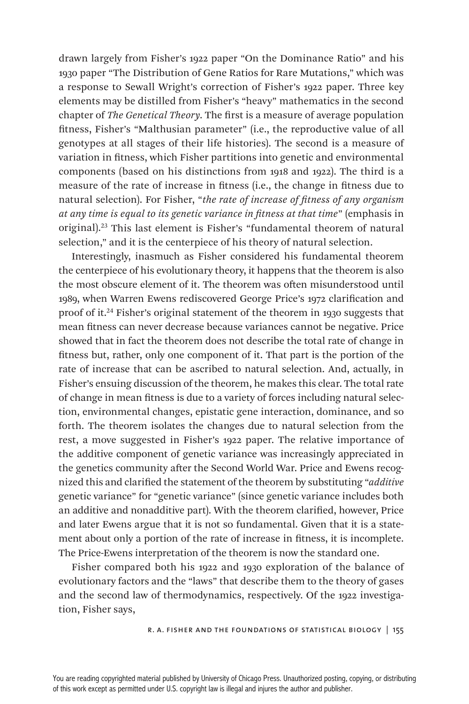drawn largely from Fisher's 1922 paper "On the Dominance Ratio" and his 1930 paper "The Distribution of Gene Ratios for Rare Mutations," which was a response to Sewall Wright's correction of Fisher's 1922 paper. Three key elements may be distilled from Fisher's "heavy" mathematics in the second chapter of *The Genetical Theory*. The first is a measure of average population fitness, Fisher's "Malthusian parameter" (i.e., the reproductive value of all genotypes at all stages of their life histories). The second is a measure of variation in fitness, which Fisher partitions into genetic and environmental components (based on his distinctions from 1918 and 1922). The third is a measure of the rate of increase in fitness (i.e., the change in fitness due to natural selection). For Fisher, "*the rate of increase of fi tness of any organism at any time is equal to its ge ne tic variance in fi tness at that time*" (emphasis in original).23 This last element is Fisher's "fundamental theorem of natural selection," and it is the centerpiece of his theory of natural selection.

Interestingly, inasmuch as Fisher considered his fundamental theorem the centerpiece of his evolutionary theory, it happens that the theorem is also the most obscure element of it. The theorem was often misunderstood until 1989, when Warren Ewens rediscovered George Price's 1972 clarification and proof of it.24 Fisher's original statement of the theorem in 1930 suggests that mean fitness can never decrease because variances cannot be negative. Price showed that in fact the theorem does not describe the total rate of change in fitness but, rather, only one component of it. That part is the portion of the rate of increase that can be ascribed to natural selection. And, actually, in Fisher's ensuing discussion of the theorem, he makes this clear. The total rate of change in mean fitness is due to a variety of forces including natural selection, environmental changes, epistatic gene interaction, dominance, and so forth. The theorem isolates the changes due to natural selection from the rest, a move suggested in Fisher's 1922 paper. The relative importance of the additive component of genetic variance was increasingly appreciated in the genetics community after the Second World War. Price and Ewens recognized this and clarified the statement of the theorem by substituting "*additive* genetic variance" for "genetic variance" (since genetic variance includes both an additive and nonadditive part). With the theorem clarified, however, Price and later Ewens argue that it is not so fundamental. Given that it is a statement about only a portion of the rate of increase in fitness, it is incomplete. The Price-Ewens interpretation of the theorem is now the standard one.

Fisher compared both his 1922 and 1930 exploration of the balance of evolutionary factors and the "laws" that describe them to the theory of gases and the second law of thermodynamics, respectively. Of the 1922 investigation, Fisher says,

r. a. fisher and the foundations of statistical biology | 155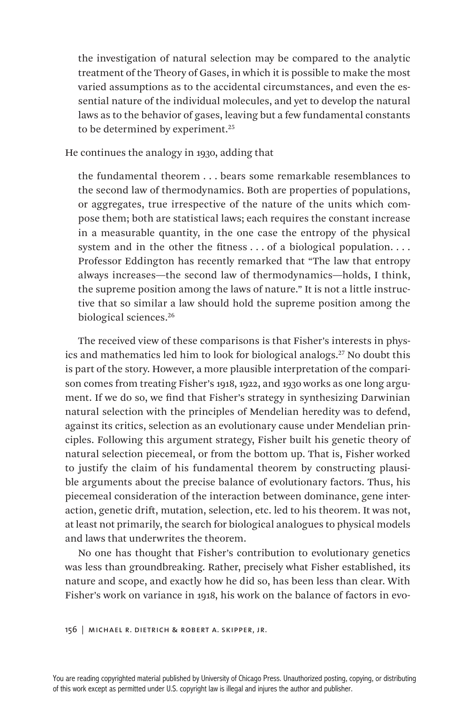the investigation of natural selection may be compared to the analytic treatment of the Theory of Gases, in which it is possible to make the most varied assumptions as to the accidental circumstances, and even the essential nature of the individual molecules, and yet to develop the natural laws as to the behavior of gases, leaving but a few fundamental constants to be determined by experiment.25

He continues the analogy in 1930, adding that

the fundamental theorem . . . bears some remarkable resemblances to the second law of thermodynamics. Both are properties of populations, or aggregates, true irrespective of the nature of the units which compose them; both are statistical laws; each requires the constant increase in a measurable quantity, in the one case the entropy of the physical system and in the other the fitness  $\dots$  of a biological population... Professor Eddington has recently remarked that "The law that entropy always increases— the second law of thermodynamics— holds, I think, the supreme position among the laws of nature." It is not a little instructive that so similar a law should hold the supreme position among the biological sciences.26

The received view of these comparisons is that Fisher's interests in physics and mathematics led him to look for biological analogs.27 No doubt this is part of the story. However, a more plausible interpretation of the comparison comes from treating Fisher's 1918, 1922, and 1930 works as one long argument. If we do so, we find that Fisher's strategy in synthesizing Darwinian natural selection with the principles of Mendelian heredity was to defend, against its critics, selection as an evolutionary cause under Mendelian principles. Following this argument strategy, Fisher built his genetic theory of natural selection piecemeal, or from the bottom up. That is, Fisher worked to justify the claim of his fundamental theorem by constructing plausible arguments about the precise balance of evolutionary factors. Thus, his piecemeal consideration of the interaction between dominance, gene interaction, genetic drift, mutation, selection, etc. led to his theorem. It was not, at least not primarily, the search for biological analogues to physical models and laws that underwrites the theorem.

No one has thought that Fisher's contribution to evolutionary genetics was less than groundbreaking. Rather, precisely what Fisher established, its nature and scope, and exactly how he did so, has been less than clear. With Fisher's work on variance in 1918, his work on the balance of factors in evo-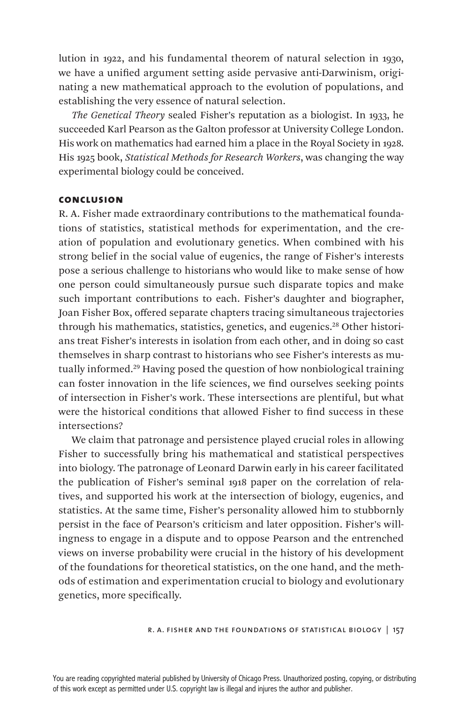lution in 1922, and his fundamental theorem of natural selection in 1930, we have a unified argument setting aside pervasive anti-Darwinism, originating a new mathematical approach to the evolution of populations, and establishing the very essence of natural selection.

*The Genetical Theory* sealed Fisher's reputation as a biologist. In 1933, he succeeded Karl Pearson as the Galton professor at University College London. His work on mathematics had earned him a place in the Royal Society in 1928. His 1925 book, *Statistical Methods for Research Workers*, was changing the way experimental biology could be conceived.

### **conclusion**

R. A. Fisher made extraordinary contributions to the mathematical foundations of statistics, statistical methods for experimentation, and the creation of population and evolutionary genetics. When combined with his strong belief in the social value of eugenics, the range of Fisher's interests pose a serious challenge to historians who would like to make sense of how one person could simultaneously pursue such disparate topics and make such important contributions to each. Fisher's daughter and biographer, Joan Fisher Box, offered separate chapters tracing simultaneous trajectories through his mathematics, statistics, genetics, and eugenics.<sup>28</sup> Other historians treat Fisher's interests in isolation from each other, and in doing so cast themselves in sharp contrast to historians who see Fisher's interests as mutually informed.29 Having posed the question of how nonbiological training can foster innovation in the life sciences, we find ourselves seeking points of intersection in Fisher's work. These intersections are plentiful, but what were the historical conditions that allowed Fisher to find success in these intersections?

We claim that patronage and persistence played crucial roles in allowing Fisher to successfully bring his mathematical and statistical perspectives into biology. The patronage of Leonard Darwin early in his career facilitated the publication of Fisher's seminal 1918 paper on the correlation of relatives, and supported his work at the intersection of biology, eugenics, and statistics. At the same time, Fisher's personality allowed him to stubbornly persist in the face of Pearson's criticism and later opposition. Fisher's willingness to engage in a dispute and to oppose Pearson and the entrenched views on inverse probability were crucial in the history of his development of the foundations for theoretical statistics, on the one hand, and the methods of estimation and experimentation crucial to biology and evolutionary genetics, more specifically.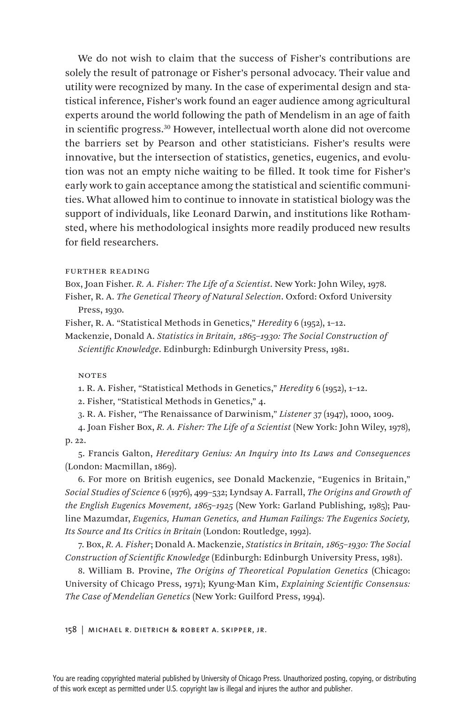We do not wish to claim that the success of Fisher's contributions are solely the result of patronage or Fisher's personal advocacy. Their value and utility were recognized by many. In the case of experimental design and statistical inference, Fisher's work found an eager audience among agricultural experts around the world following the path of Mendelism in an age of faith in scientific progress.<sup>30</sup> However, intellectual worth alone did not overcome the barriers set by Pearson and other statisticians. Fisher's results were innovative, but the intersection of statistics, genetics, eugenics, and evolution was not an empty niche waiting to be filled. It took time for Fisher's early work to gain acceptance among the statistical and scientific communities. What allowed him to continue to innovate in statistical biology was the support of individuals, like Leonard Darwin, and institutions like Rothamsted, where his methodological insights more readily produced new results for field researchers.

#### further reading

Box, Joan Fisher. *R. A. Fisher: The Life of a Scientist*. New York: John Wiley, 1978.

Fisher, R. A. *The Genetical Theory of Natural Selection*. Oxford: Oxford University Press, 1930.

Fisher, R. A. "Statistical Methods in Genetics," *Heredity* 6 (1952), 1-12.

Mackenzie, Donald A. *Statistics in Britain, 1865*–*1930: The Social Construction of*  Scientific Knowledge. Edinburgh: Edinburgh University Press, 1981.

#### **NOTES**

1. R. A. Fisher, "Statistical Methods in Genetics," *Heredity* 6 (1952), 1-12.

2. Fisher, "Statistical Methods in Genetics," 4.

3. R. A. Fisher, "The Re nais sance of Darwinism," *Listener* 37 (1947), 1000, 1009.

4. Joan Fisher Box, *R. A. Fisher: The Life of a Scientist* (New York: John Wiley, 1978), p. 22.

5. Francis Galton, *Hereditary Genius: An Inquiry into Its Laws and Consequences* (London: Macmillan, 1869).

6. For more on British eugenics, see Donald Mackenzie, "Eugenics in Britain," *Social Studies of Science* 6 (1976), 499– 532; Lyndsay A. Farrall, *The Origins and Growth of the En glish Eugenics Movement, 1865*–*1925* (New York: Garland Publishing, 1985); Pauline Mazumdar, *Eugenics, Human Genetics, and Human Failings: The Eugenics Society, Its Source and Its Critics in Britain* (London: Routledge, 1992).

7. Box, *R. A. Fisher*; Donald A. Mackenzie, *Statistics in Britain, 1865*–*1930: The Social Construction of Scientific Knowledge* (Edinburgh: Edinburgh University Press, 1981).

8. William B. Provine, *The Origins of Theoretical Population Genetics* (Chicago: University of Chicago Press, 1971); Kyung-Man Kim, *Explaining Scientific Consensus:* The Case of Mendelian Genetics (New York: Guilford Press, 1994).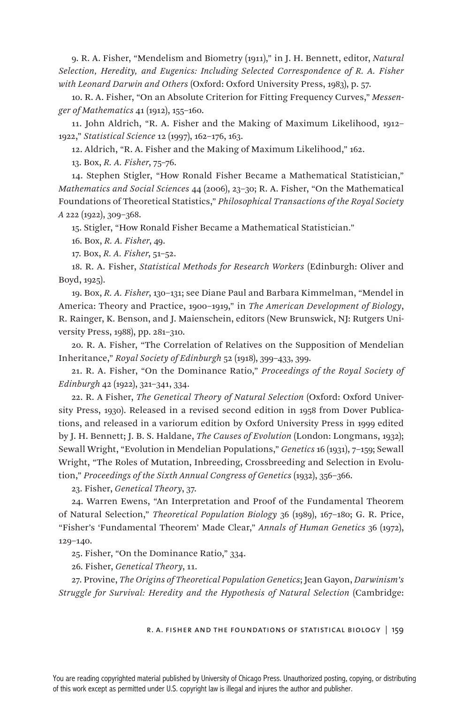9. R. A. Fisher, "Mendelism and Biometry (1911)," in J. H. Bennett, editor, *Natural Selection, Heredity, and Eugenics: Including Selected Correspondence of R. A. Fisher with Leonard Darwin and Others* (Oxford: Oxford University Press, 1983), p. 57.

10. R. A. Fisher, "On an Absolute Criterion for Fitting Frequency Curves," *Messenger of Mathematics* 41 (1912), 155– 160.

11. John Aldrich, "R. A. Fisher and the Making of Maximum Likelihood, 1912– 1922," *Statistical Science* 12 (1997), 162– 176, 163.

12. Aldrich, "R. A. Fisher and the Making of Maximum Likelihood," 162.

13. Box, *R. A. Fisher*, 75– 76.

14. Stephen Stigler, "How Ronald Fisher Became a Mathematical Statistician," *Mathematics and Social Sciences* 44 (2006), 23-30; R. A. Fisher, "On the Mathematical Foundations of Theoretical Statistics," *Philosophical Transactions of the Royal Society A* 222 (1922), 309– 368.

15. Stigler, "How Ronald Fisher Became a Mathematical Statistician."

16. Box, *R. A. Fisher*, 49.

17. Box, *R. A. Fisher*, 51-52.

18. R. A. Fisher, *Statistical Methods for Research Workers* (Edinburgh: Oliver and Boyd, 1925).

19. Box, *R. A. Fisher*, 130-131; see Diane Paul and Barbara Kimmelman, "Mendel in America: Theory and Practice, 1900– 1919," in *The American Development of Biology*, R. Rainger, K. Benson, and J. Maienschein, editors (New Brunswick, NJ: Rutgers University Press, 1988), pp. 281-310.

20. R. A. Fisher, "The Correlation of Relatives on the Supposition of Mendelian Inheritance," *Royal Society of Edinburgh* 52 (1918), 399– 433, 399.

21. R. A. Fisher, "On the Dominance Ratio," *Proceedings of the Royal Society of Edinburgh* 42 (1922), 321-341, 334.

22. R. A Fisher, *The Genetical Theory of Natural Selection* (Oxford: Oxford University Press, 1930). Released in a revised second edition in 1958 from Dover Publications, and released in a variorum edition by Oxford University Press in 1999 edited by J. H. Bennett; J. B. S. Haldane, *The Causes of Evolution* (London: Longmans, 1932); Sewall Wright, "Evolution in Mendelian Populations," *Genetics* 16 (1931), 7-159; Sewall Wright, "The Roles of Mutation, Inbreeding, Crossbreeding and Selection in Evolution," *Proceedings of the Sixth Annual Congress of Genetics* (1932), 356-366.

23. Fisher, *Ge ne tical Theory*, 37.

24. Warren Ewens, "An Interpretation and Proof of the Fundamental Theorem of Natural Selection," *Theoretical Population Biology* 36 (1989), 167– 180; G. R. Price, "Fisher's 'Fundamental Theorem' Made Clear," Annals of Human Genetics 36 (1972), 129–140.

25. Fisher, "On the Dominance Ratio," 334.

26. Fisher, *Ge ne tical Theory*, 11.

27. Provine, *The Origins of Theoretical Population Ge ne tics*; Jean Gayon, *Darwinism's Struggle for Survival: Heredity and the Hypothesis of Natural Selection* (Cambridge:

r. a. fisher and the foundations of statistical biology | 159

You are reading copyrighted material published by University of Chicago Press. Unauthorized posting, copying, or distributing of this work except as permitted under U.S. copyright law is illegal and injures the author and publisher.